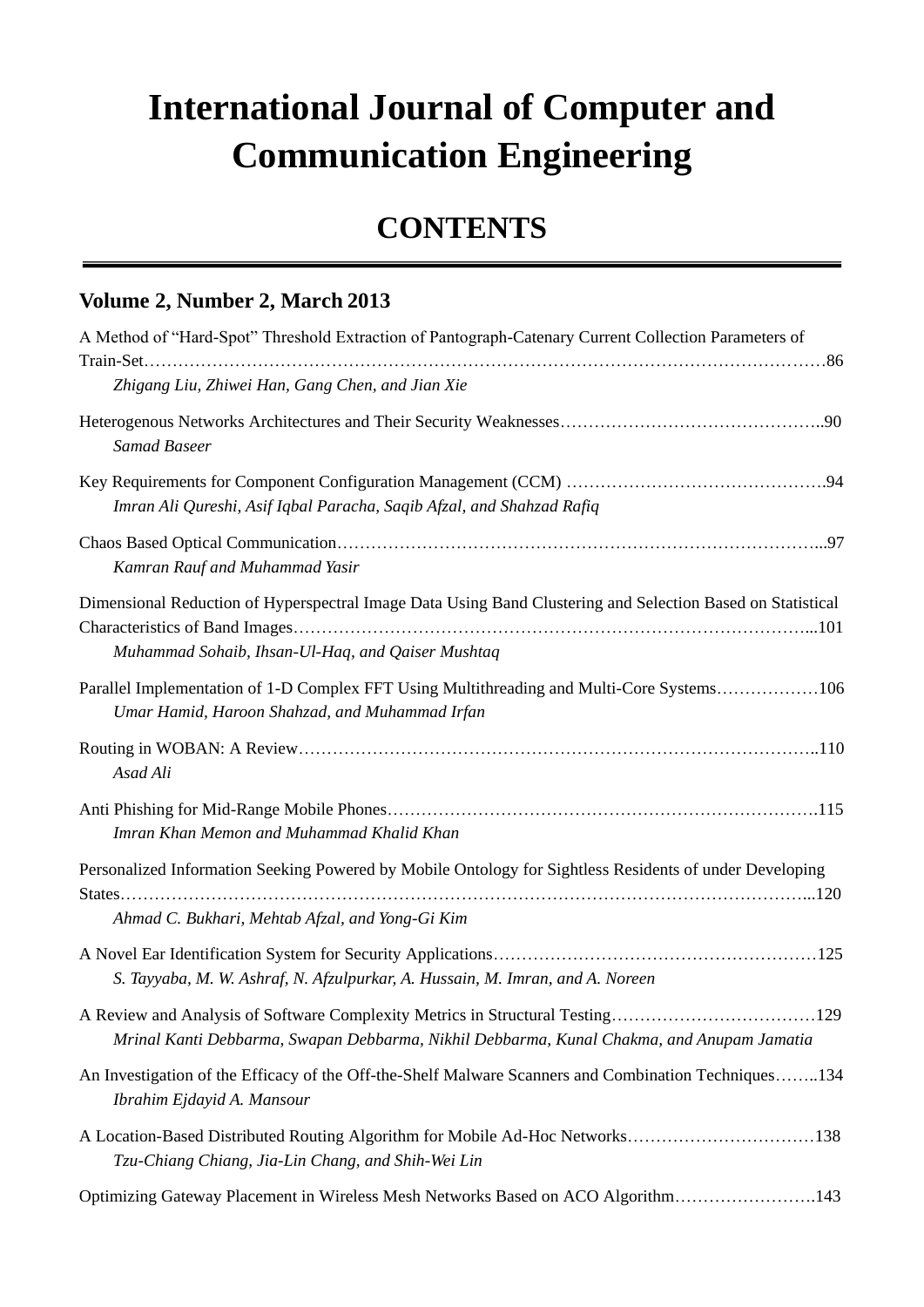## **International Journal of Computer and Communication Engineering**

## **CONTENTS**

## **Volume 2, Number 2, March 2013**

| A Method of "Hard-Spot" Threshold Extraction of Pantograph-Catenary Current Collection Parameters of                                                                       |
|----------------------------------------------------------------------------------------------------------------------------------------------------------------------------|
| Zhigang Liu, Zhiwei Han, Gang Chen, and Jian Xie                                                                                                                           |
| <b>Samad Baseer</b>                                                                                                                                                        |
| Imran Ali Qureshi, Asif Iqbal Paracha, Saqib Afzal, and Shahzad Rafiq                                                                                                      |
| Kamran Rauf and Muhammad Yasir                                                                                                                                             |
| Dimensional Reduction of Hyperspectral Image Data Using Band Clustering and Selection Based on Statistical<br>Muhammad Sohaib, Ihsan-Ul-Haq, and Qaiser Mushtaq            |
| Parallel Implementation of 1-D Complex FFT Using Multithreading and Multi-Core Systems106<br>Umar Hamid, Haroon Shahzad, and Muhammad Irfan                                |
| Asad Ali                                                                                                                                                                   |
| Imran Khan Memon and Muhammad Khalid Khan                                                                                                                                  |
| Personalized Information Seeking Powered by Mobile Ontology for Sightless Residents of under Developing<br>Ahmad C. Bukhari, Mehtab Afzal, and Yong-Gi Kim                 |
| S. Tayyaba, M. W. Ashraf, N. Afzulpurkar, A. Hussain, M. Imran, and A. Noreen                                                                                              |
| A Review and Analysis of Software Complexity Metrics in Structural Testing129<br>Mrinal Kanti Debbarma, Swapan Debbarma, Nikhil Debbarma, Kunal Chakma, and Anupam Jamatia |
| An Investigation of the Efficacy of the Off-the-Shelf Malware Scanners and Combination Techniques134<br>Ibrahim Ejdayid A. Mansour                                         |
| A Location-Based Distributed Routing Algorithm for Mobile Ad-Hoc Networks138<br>Tzu-Chiang Chiang, Jia-Lin Chang, and Shih-Wei Lin                                         |
| Optimizing Gateway Placement in Wireless Mesh Networks Based on ACO Algorithm143                                                                                           |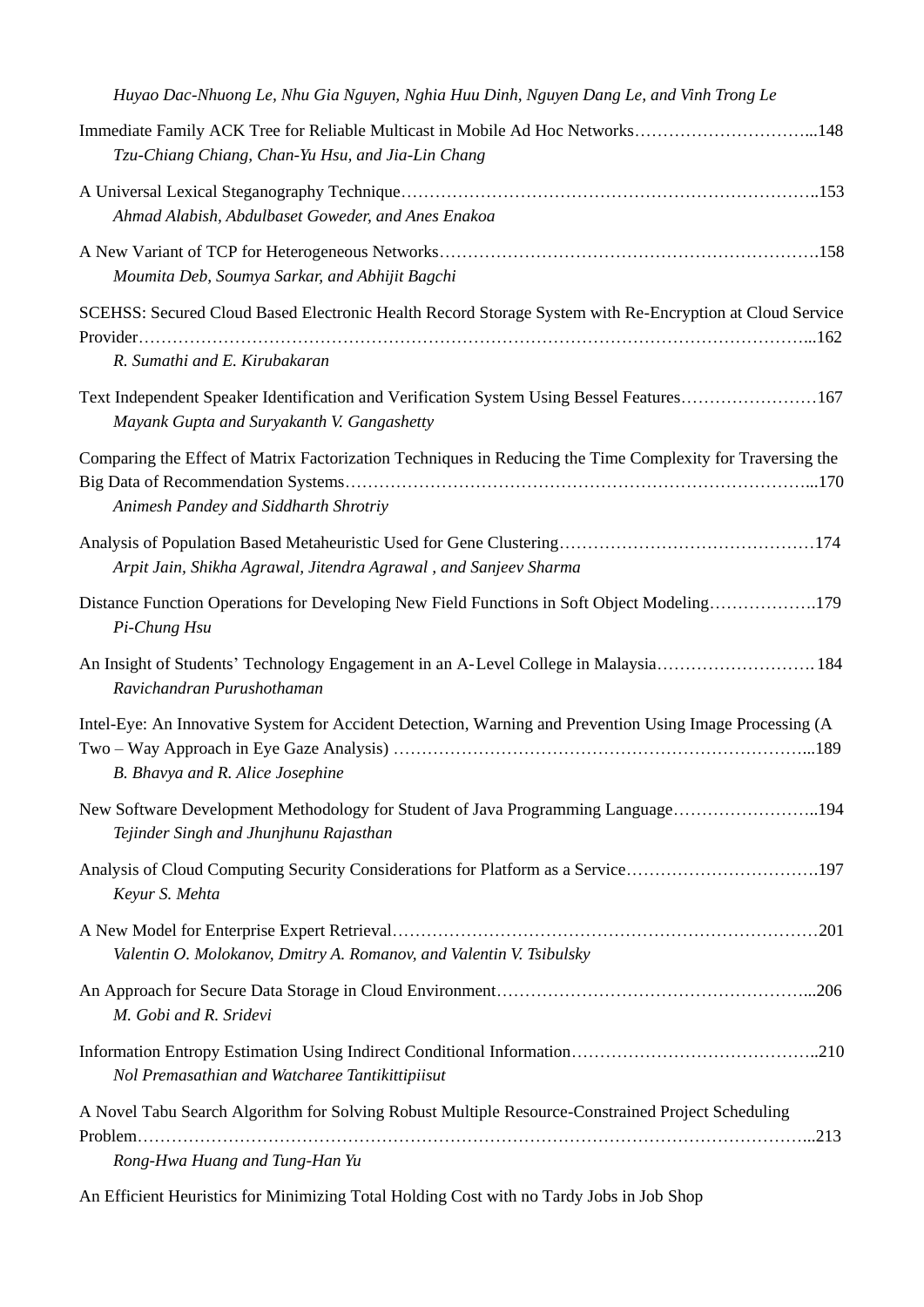| Huyao Dac-Nhuong Le, Nhu Gia Nguyen, Nghia Huu Dinh, Nguyen Dang Le, and Vinh Trong Le                                                              |
|-----------------------------------------------------------------------------------------------------------------------------------------------------|
| Immediate Family ACK Tree for Reliable Multicast in Mobile Ad Hoc Networks148<br>Tzu-Chiang Chiang, Chan-Yu Hsu, and Jia-Lin Chang                  |
| Ahmad Alabish, Abdulbaset Goweder, and Anes Enakoa                                                                                                  |
| Moumita Deb, Soumya Sarkar, and Abhijit Bagchi                                                                                                      |
| SCEHSS: Secured Cloud Based Electronic Health Record Storage System with Re-Encryption at Cloud Service<br>R. Sumathi and E. Kirubakaran            |
| Text Independent Speaker Identification and Verification System Using Bessel Features167<br>Mayank Gupta and Suryakanth V. Gangashetty              |
| Comparing the Effect of Matrix Factorization Techniques in Reducing the Time Complexity for Traversing the<br>Animesh Pandey and Siddharth Shrotriy |
| Arpit Jain, Shikha Agrawal, Jitendra Agrawal, and Sanjeev Sharma                                                                                    |
| Distance Function Operations for Developing New Field Functions in Soft Object Modeling179<br>Pi-Chung Hsu                                          |
| An Insight of Students' Technology Engagement in an A-Level College in Malaysia 184<br>Ravichandran Purushothaman                                   |
| Intel-Eye: An Innovative System for Accident Detection, Warning and Prevention Using Image Processing (A<br>B. Bhavya and R. Alice Josephine        |
| New Software Development Methodology for Student of Java Programming Language194<br>Tejinder Singh and Jhunjhunu Rajasthan                          |
| Analysis of Cloud Computing Security Considerations for Platform as a Service197<br>Keyur S. Mehta                                                  |
| Valentin O. Molokanov, Dmitry A. Romanov, and Valentin V. Tsibulsky                                                                                 |
| M. Gobi and R. Sridevi                                                                                                                              |
| Nol Premasathian and Watcharee Tantikittipiisut                                                                                                     |
| A Novel Tabu Search Algorithm for Solving Robust Multiple Resource-Constrained Project Scheduling                                                   |
| Rong-Hwa Huang and Tung-Han Yu                                                                                                                      |

An Efficient Heuristics for Minimizing Total Holding Cost with no Tardy Jobs in Job Shop